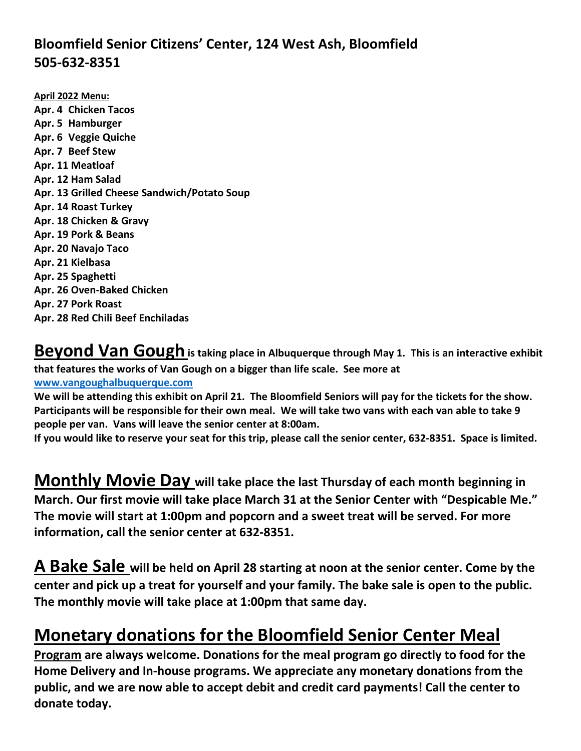## **Bloomfield Senior Citizens' Center, 124 West Ash, Bloomfield 505-632-8351**

**April 2022 Menu: Apr. 4 Chicken Tacos Apr. 5 Hamburger Apr. 6 Veggie Quiche Apr. 7 Beef Stew Apr. 11 Meatloaf Apr. 12 Ham Salad Apr. 13 Grilled Cheese Sandwich/Potato Soup Apr. 14 Roast Turkey Apr. 18 Chicken & Gravy Apr. 19 Pork & Beans Apr. 20 Navajo Taco Apr. 21 Kielbasa Apr. 25 Spaghetti Apr. 26 Oven-Baked Chicken Apr. 27 Pork Roast Apr. 28 Red Chili Beef Enchiladas**

Beyond Van Gough is taking place in Albuquerque through May 1. This is an interactive exhibit **that features the works of Van Gough on a bigger than life scale. See more at [www.vangoughalbuquerque.com](http://www.vangoughalbuquerque.com/)**

**We will be attending this exhibit on April 21. The Bloomfield Seniors will pay for the tickets for the show. Participants will be responsible for their own meal. We will take two vans with each van able to take 9 people per van. Vans will leave the senior center at 8:00am.**

**If you would like to reserve your seat for this trip, please call the senior center, 632-8351. Space is limited.**

**Monthly Movie Day will take place the last Thursday of each month beginning in March. Our first movie will take place March 31 at the Senior Center with "Despicable Me." The movie will start at 1:00pm and popcorn and a sweet treat will be served. For more information, call the senior center at 632-8351.** 

**A Bake Sale will be held on April 28 starting at noon at the senior center. Come by the center and pick up a treat for yourself and your family. The bake sale is open to the public. The monthly movie will take place at 1:00pm that same day.**

## **Monetary donations for the Bloomfield Senior Center Meal**

**Program are always welcome. Donations for the meal program go directly to food for the Home Delivery and In-house programs. We appreciate any monetary donations from the public, and we are now able to accept debit and credit card payments! Call the center to donate today.**